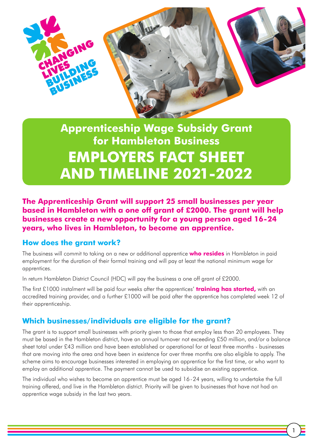

# **Apprenticeship Wage Subsidy Grant for Hambleton Business EMPLOYERS FACT SHEET AND TIMELINE 2021-2022**

**The Apprenticeship Grant will support 25 small businesses per year based in Hambleton with a one off grant of £2000. The grant will help businesses create a new opportunity for a young person aged 16-24 years, who lives in Hambleton, to become an apprentice.**

#### **How does the grant work?**

The business will commit to taking on a new or additional apprentice **who resides** in Hambleton in paid employment for the duration of their formal training and will pay at least the national minimum wage for apprentices.

In return Hambleton District Council (HDC) will pay the business a one off grant of £2000.

The first £1000 instalment will be paid four weeks after the apprentices' **training has started,** with an accredited training provider, and a further £1000 will be paid after the apprentice has completed week 12 of their apprenticeship.

## **Which businesses/individuals are eligible for the grant?**

The grant is to support small businesses with priority given to those that employ less than 20 employees. They must be based in the Hambleton district, have an annual turnover not exceeding £50 million, and/or a balance sheet total under £43 million and have been established or operational for at least three months - businesses that are moving into the area and have been in existence for over three months are also eligible to apply. The scheme aims to encourage businesses interested in employing an apprentice for the first time, or who want to employ an additional apprentice. The payment cannot be used to subsidise an existing apprentice.

The individual who wishes to become an apprentice must be aged 16 - 24 years, willing to undertake the full training offered, and live in the Hambleton district. Priority will be given to businesses that have not had an apprentice wage subsidy in the last two years.

1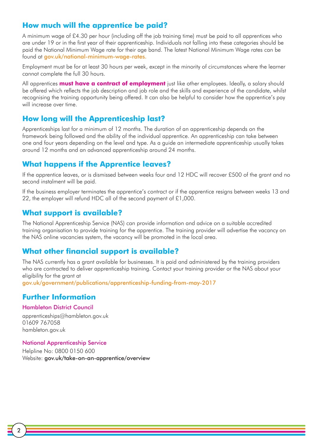### **How much will the apprentice be paid?**

A minimum wage of £4.30 per hour (including off the job training time) must be paid to all apprentices who are under 19 or in the first year of their apprenticeship. Individuals not falling into these categories should be paid the National Minimum Wage rate for their age band. The latest [National Minimum Wage rate](http://www.direct.gov.uk/en/Employment/Employees/TheNationalMinimumWage/DG_10027201)s can be found at [gov.uk/national-minimum-wage-rates.](http://gov.uk/national-minimum-wage-rates)

Employment must be for at least 30 hours per week, except in the minority of circumstances where the learner cannot complete the full 30 hours.

All apprentices **must have a contract of employment** just like other employees. Ideally, a salary should be offered which reflects the job description and job role and the skills and experience of the candidate, whilst recognising the training opportunity being offered. It can also be helpful to consider how the apprentice's pay will increase over time.

#### **How long will the Apprenticeship last?**

Apprenticeships last for a minimum of 12 months. The duration of an apprenticeship depends on the framework being followed and the ability of the individual apprentice. An apprenticeship can take between one and four years depending on the level and type. As a guide an intermediate apprenticeship usually takes around 12 months and an advanced apprenticeship around 24 months.

#### **What happens if the Apprentice leaves?**

If the apprentice leaves, or is dismissed between weeks four and 12 HDC will recover £500 of the grant and no second instalment will be paid.

If the business employer terminates the apprentice's contract or if the apprentice resigns between weeks 13 and 22, the employer will refund HDC all of the second payment of £1,000.

### **What support is available?**

The National Apprenticeship Service (NAS) can provide information and advice on a suitable accredited training organisation to provide training for the apprentice. The training provider will advertise the vacancy on the NAS online vacancies system, the vacancy will be promoted in the local area.

#### **What other financial support is available?**

The NAS currently has a grant available for businesses. It is paid and administered by the training providers who are contracted to deliver apprenticeship training. Contact your training provider or the NAS about your eligibility for the grant at

[gov.uk/government/publications/apprenticeship-funding-from-may-2017](http://gov.uk/government/publications/apprenticeship-funding-from-may-2017)

#### **Further Information**

#### Hambleton District Council

apprenticeships@hambleton.gov.uk 01609 767058 [hambleton.gov.uk](http://hambleton.gov.uk)

#### National Apprenticeship Service

Helpline No: 0800 0150 600 Website: [gov.uk/take-on-an-apprentice/overview](http://gov.uk/take-on-an-apprentice/overview )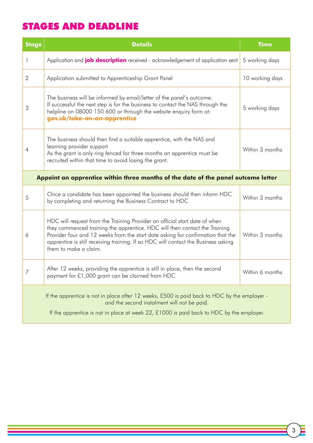# STAGES AND DEADLINE

**The Contract of the Contract of the Contract of the Contract of the Contract of the Contract of the Contract of the Contract of the Contract of the Contract of the Contract of the Contract of the Contract of the Contract** 

 $\equiv$ 

| <b>Stage</b>                                                                                                                                                                                                                            | <b>Details</b>                                                                                                                                                                                                                                                                                                                                             | <b>Time</b>     |
|-----------------------------------------------------------------------------------------------------------------------------------------------------------------------------------------------------------------------------------------|------------------------------------------------------------------------------------------------------------------------------------------------------------------------------------------------------------------------------------------------------------------------------------------------------------------------------------------------------------|-----------------|
| 1                                                                                                                                                                                                                                       | Application and <b>job description</b> received - acknowledgement of application sent                                                                                                                                                                                                                                                                      | 5 working days  |
| $\overline{2}$                                                                                                                                                                                                                          | Application submitted to Apprenticeship Grant Panel                                                                                                                                                                                                                                                                                                        | 10 working days |
| 3                                                                                                                                                                                                                                       | The business will be informed by email/letter of the panel's outcome.<br>If successful the next step is for the business to contact the NAS through the<br>helpline on 08000 150 600 or through the website enquiry form at:<br>gov.uk/take-on-an-apprentice                                                                                               | 5 working days  |
| 4                                                                                                                                                                                                                                       | The business should then find a suitable apprentice, with the NAS and<br>learning provider support<br>As the grant is only ring fenced for three months an apprentice must be<br>recruited within that time to avoid losing the grant.                                                                                                                     | Within 3 months |
| Appoint an apprentice within three months of the date of the panel outcome letter                                                                                                                                                       |                                                                                                                                                                                                                                                                                                                                                            |                 |
| 5                                                                                                                                                                                                                                       | Once a candidate has been appointed the business should then inform HDC<br>by completing and returning the Business Contract to HDC                                                                                                                                                                                                                        | Within 3 months |
| 6                                                                                                                                                                                                                                       | HDC will request from the Training Provider an official start date of when<br>they commenced training the apprentice. HDC will then contact the Training<br>Provider four and 12 weeks from the start date asking for confirmation that the<br>apprentice is still receiving training. If so HDC will contact the Business asking<br>them to make a claim. | Within 3 months |
| 7                                                                                                                                                                                                                                       | After 12 weeks, providing the apprentice is still in place, then the second<br>payment for £1,000 grant can be claimed from HDC                                                                                                                                                                                                                            | Within 6 months |
| If the apprentice is not in place after 12 weeks, £500 is paid back to HDC by the employer -<br>and the second instalment will not be paid.<br>If the apprentice is not in place at week 22, £1000 is paid back to HDC by the employer. |                                                                                                                                                                                                                                                                                                                                                            |                 |

a sa mga bagayan ng pagkalang ng pagkalang ng pagkalang ng pagkalang ng pagkalang ng pagkalang ng pagkalang ng<br>Mga pagkalang ng pagkalang ng pagkalang ng pagkalang ng pagkalang ng pagkalang ng pagkalang ng pagkalang ng pa